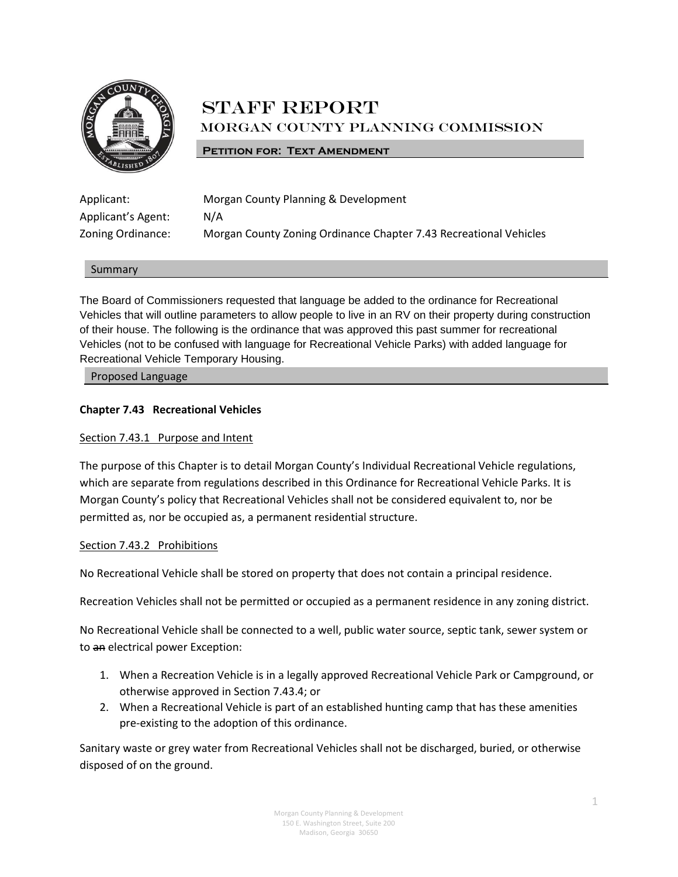

# **STAFF REPORT** Morgan County Planning Commission

#### **PETITION FOR: TEXT AMENDMENT**

| Applicant:         |
|--------------------|
| Applicant's Agent: |
| Zoning Ordinance:  |

Morgan County Planning & Development  $N/A$ Morgan County Zoning Ordinance Chapter 7.43 Recreational Vehicles

#### Summary

The Board of Commissioners requested that language be added to the ordinance for Recreational Vehicles that will outline parameters to allow people to live in an RV on their property during construction of their house. The following is the ordinance that was approved this past summer for recreational Vehicles (not to be confused with language for Recreational Vehicle Parks) with added language for Recreational Vehicle Temporary Housing.

Proposed Language

#### **Chapter 7.43 Recreational Vehicles**

#### Section 7.43.1 Purpose and Intent

The purpose of this Chapter is to detail Morgan County's Individual Recreational Vehicle regulations, which are separate from regulations described in this Ordinance for Recreational Vehicle Parks. It is Morgan County's policy that Recreational Vehicles shall not be considered equivalent to, nor be permitted as, nor be occupied as, a permanent residential structure.

#### Section 7.43.2 Prohibitions

No Recreational Vehicle shall be stored on property that does not contain a principal residence.

Recreation Vehicles shall not be permitted or occupied as a permanent residence in any zoning district.

No Recreational Vehicle shall be connected to a well, public water source, septic tank, sewer system or to an electrical power Exception:

- 1. When a Recreation Vehicle is in a legally approved Recreational Vehicle Park or Campground, or otherwise approved in Section 7.43.4; or
- 2. When a Recreational Vehicle is part of an established hunting camp that has these amenities pre-existing to the adoption of this ordinance.

Sanitary waste or grey water from Recreational Vehicles shall not be discharged, buried, or otherwise disposed of on the ground.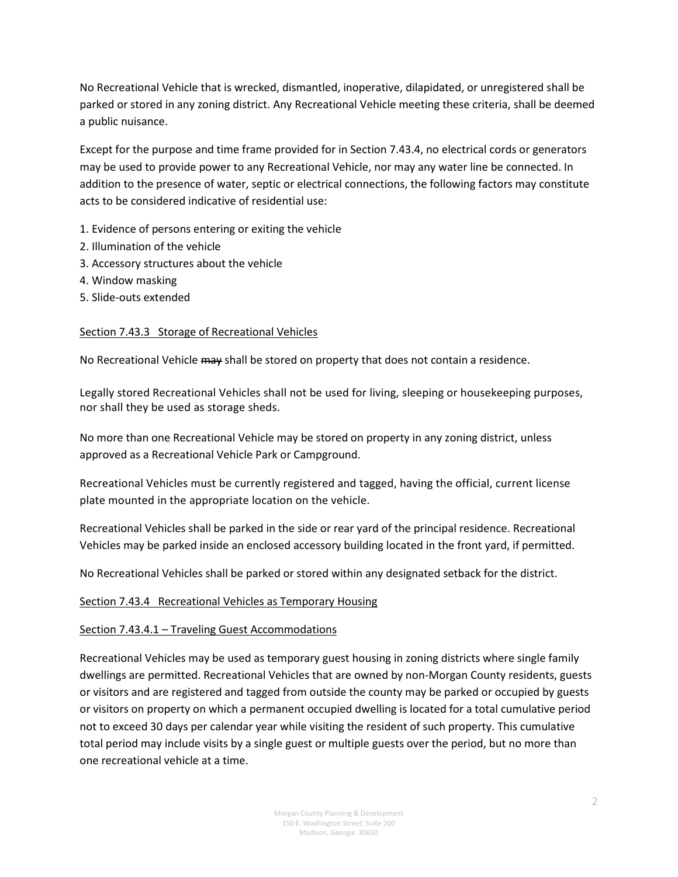No Recreational Vehicle that is wrecked, dismantled, inoperative, dilapidated, or unregistered shall be parked or stored in any zoning district. Any Recreational Vehicle meeting these criteria, shall be deemed a public nuisance.

Except for the purpose and time frame provided for in Section 7.43.4, no electrical cords or generators may be used to provide power to any Recreational Vehicle, nor may any water line be connected. In addition to the presence of water, septic or electrical connections, the following factors may constitute acts to be considered indicative of residential use:

- 1. Evidence of persons entering or exiting the vehicle
- 2. Illumination of the vehicle
- 3. Accessory structures about the vehicle
- 4. Window masking
- 5. Slide-outs extended

#### Section 7.43.3 Storage of Recreational Vehicles

No Recreational Vehicle may shall be stored on property that does not contain a residence.

Legally stored Recreational Vehicles shall not be used for living, sleeping or housekeeping purposes, nor shall they be used as storage sheds.

No more than one Recreational Vehicle may be stored on property in any zoning district, unless approved as a Recreational Vehicle Park or Campground.

Recreational Vehicles must be currently registered and tagged, having the official, current license plate mounted in the appropriate location on the vehicle.

Recreational Vehicles shall be parked in the side or rear yard of the principal residence. Recreational Vehicles may be parked inside an enclosed accessory building located in the front yard, if permitted.

No Recreational Vehicles shall be parked or stored within any designated setback for the district.

#### Section 7.43.4 Recreational Vehicles as Temporary Housing

#### Section 7.43.4.1 – Traveling Guest Accommodations

Recreational Vehicles may be used as temporary guest housing in zoning districts where single family dwellings are permitted. Recreational Vehicles that are owned by non-Morgan County residents, guests or visitors and are registered and tagged from outside the county may be parked or occupied by guests or visitors on property on which a permanent occupied dwelling is located for a total cumulative period not to exceed 30 days per calendar year while visiting the resident of such property. This cumulative total period may include visits by a single guest or multiple guests over the period, but no more than one recreational vehicle at a time.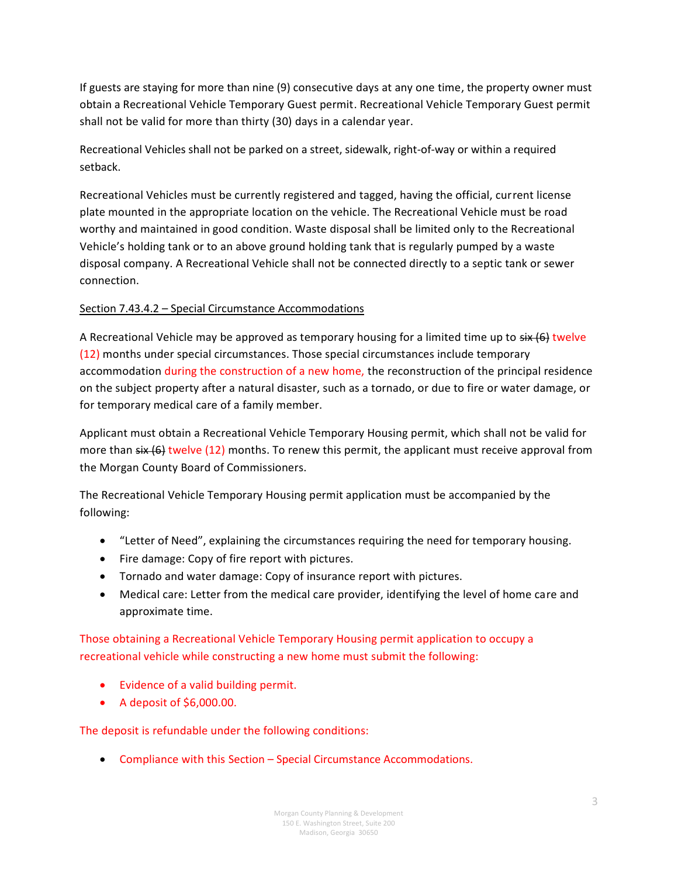If guests are staying for more than nine (9) consecutive days at any one time, the property owner must obtain a Recreational Vehicle Temporary Guest permit. Recreational Vehicle Temporary Guest permit shall not be valid for more than thirty (30) days in a calendar year.

Recreational Vehicles shall not be parked on a street, sidewalk, right-of-way or within a required setback.

Recreational Vehicles must be currently registered and tagged, having the official, current license plate mounted in the appropriate location on the vehicle. The Recreational Vehicle must be road worthy and maintained in good condition. Waste disposal shall be limited only to the Recreational Vehicle's holding tank or to an above ground holding tank that is regularly pumped by a waste disposal company. A Recreational Vehicle shall not be connected directly to a septic tank or sewer connection.

# Section 7.43.4.2 – Special Circumstance Accommodations

A Recreational Vehicle may be approved as temporary housing for a limited time up to  $\frac{1}{2}$  twelve (12) months under special circumstances. Those special circumstances include temporary accommodation during the construction of a new home, the reconstruction of the principal residence on the subject property after a natural disaster, such as a tornado, or due to fire or water damage, or for temporary medical care of a family member.

Applicant must obtain a Recreational Vehicle Temporary Housing permit, which shall not be valid for more than  $s$ ix  $(6)$  twelve (12) months. To renew this permit, the applicant must receive approval from the Morgan County Board of Commissioners.

The Recreational Vehicle Temporary Housing permit application must be accompanied by the following:

- "Letter of Need", explaining the circumstances requiring the need for temporary housing.
- Fire damage: Copy of fire report with pictures.
- Tornado and water damage: Copy of insurance report with pictures.
- Medical care: Letter from the medical care provider, identifying the level of home care and approximate time.

Those obtaining a Recreational Vehicle Temporary Housing permit application to occupy a recreational vehicle while constructing a new home must submit the following:

- Evidence of a valid building permit.
- A deposit of \$6,000.00.

The deposit is refundable under the following conditions:

• Compliance with this Section – Special Circumstance Accommodations.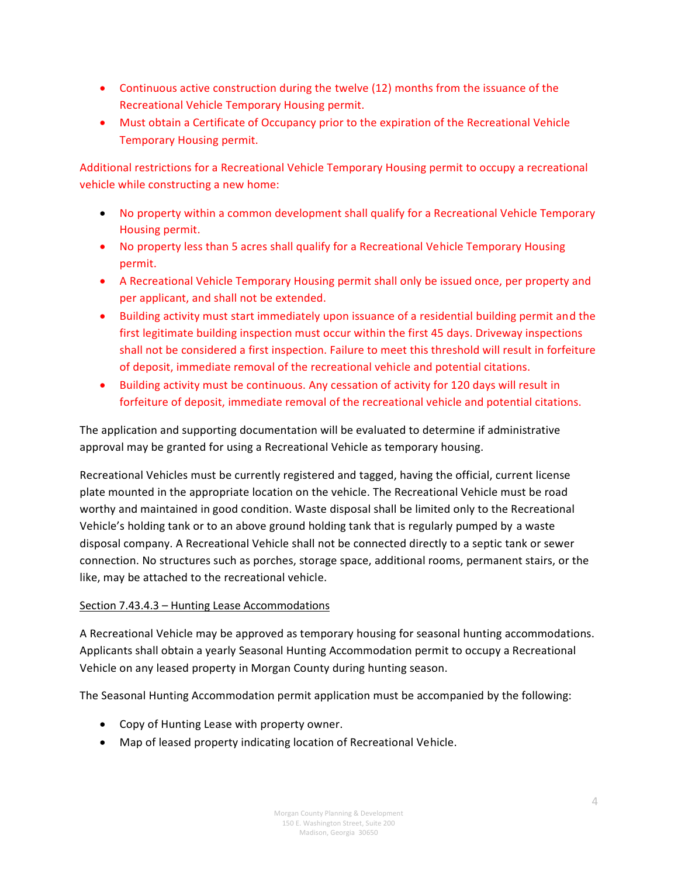- Continuous active construction during the twelve (12) months from the issuance of the Recreational Vehicle Temporary Housing permit.
- Must obtain a Certificate of Occupancy prior to the expiration of the Recreational Vehicle Temporary Housing permit.

Additional restrictions for a Recreational Vehicle Temporary Housing permit to occupy a recreational vehicle while constructing a new home:

- No property within a common development shall qualify for a Recreational Vehicle Temporary Housing permit.
- No property less than 5 acres shall qualify for a Recreational Vehicle Temporary Housing permit.
- A Recreational Vehicle Temporary Housing permit shall only be issued once, per property and per applicant, and shall not be extended.
- Building activity must start immediately upon issuance of a residential building permit and the first legitimate building inspection must occur within the first 45 days. Driveway inspections shall not be considered a first inspection. Failure to meet this threshold will result in forfeiture of deposit, immediate removal of the recreational vehicle and potential citations.
- Building activity must be continuous. Any cessation of activity for 120 days will result in forfeiture of deposit, immediate removal of the recreational vehicle and potential citations.

The application and supporting documentation will be evaluated to determine if administrative approval may be granted for using a Recreational Vehicle as temporary housing.

Recreational Vehicles must be currently registered and tagged, having the official, current license plate mounted in the appropriate location on the vehicle. The Recreational Vehicle must be road worthy and maintained in good condition. Waste disposal shall be limited only to the Recreational Vehicle's holding tank or to an above ground holding tank that is regularly pumped by a waste disposal company. A Recreational Vehicle shall not be connected directly to a septic tank or sewer connection. No structures such as porches, storage space, additional rooms, permanent stairs, or the like, may be attached to the recreational vehicle.

# Section 7.43.4.3 – Hunting Lease Accommodations

A Recreational Vehicle may be approved as temporary housing for seasonal hunting accommodations. Applicants shall obtain a yearly Seasonal Hunting Accommodation permit to occupy a Recreational Vehicle on any leased property in Morgan County during hunting season.

The Seasonal Hunting Accommodation permit application must be accompanied by the following:

- Copy of Hunting Lease with property owner.
- Map of leased property indicating location of Recreational Vehicle.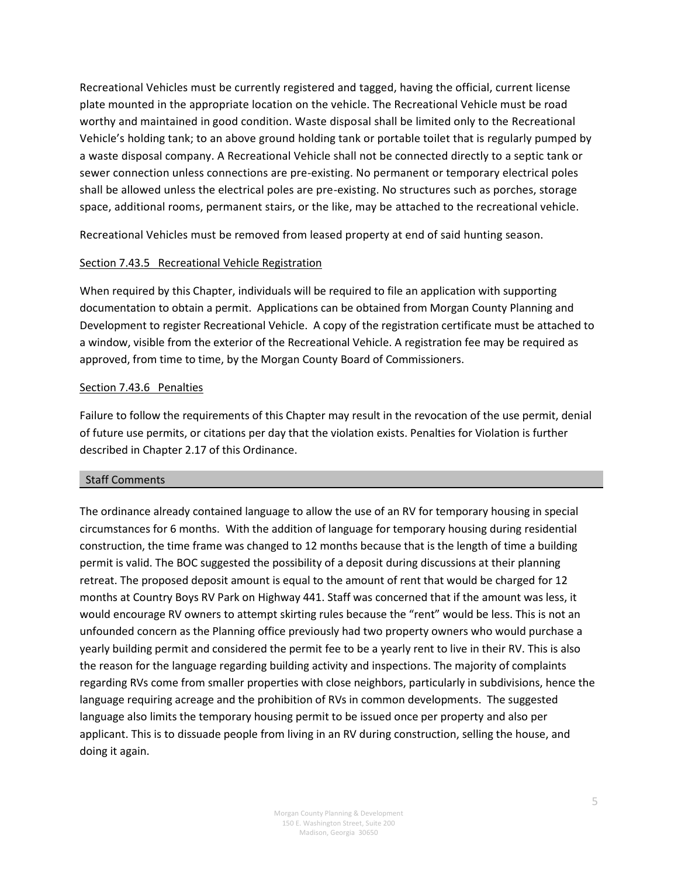Recreational Vehicles must be currently registered and tagged, having the official, current license plate mounted in the appropriate location on the vehicle. The Recreational Vehicle must be road worthy and maintained in good condition. Waste disposal shall be limited only to the Recreational Vehicle's holding tank; to an above ground holding tank or portable toilet that is regularly pumped by a waste disposal company. A Recreational Vehicle shall not be connected directly to a septic tank or sewer connection unless connections are pre-existing. No permanent or temporary electrical poles shall be allowed unless the electrical poles are pre-existing. No structures such as porches, storage space, additional rooms, permanent stairs, or the like, may be attached to the recreational vehicle.

Recreational Vehicles must be removed from leased property at end of said hunting season.

#### Section 7.43.5 Recreational Vehicle Registration

When required by this Chapter, individuals will be required to file an application with supporting documentation to obtain a permit. Applications can be obtained from Morgan County Planning and Development to register Recreational Vehicle. A copy of the registration certificate must be attached to a window, visible from the exterior of the Recreational Vehicle. A registration fee may be required as approved, from time to time, by the Morgan County Board of Commissioners.

#### Section 7.43.6 Penalties

Failure to follow the requirements of this Chapter may result in the revocation of the use permit, denial of future use permits, or citations per day that the violation exists. Penalties for Violation is further described in Chapter 2.17 of this Ordinance.

#### Staff Comments

The ordinance already contained language to allow the use of an RV for temporary housing in special circumstances for 6 months. With the addition of language for temporary housing during residential construction, the time frame was changed to 12 months because that is the length of time a building permit is valid. The BOC suggested the possibility of a deposit during discussions at their planning retreat. The proposed deposit amount is equal to the amount of rent that would be charged for 12 months at Country Boys RV Park on Highway 441. Staff was concerned that if the amount was less, it would encourage RV owners to attempt skirting rules because the "rent" would be less. This is not an unfounded concern as the Planning office previously had two property owners who would purchase a yearly building permit and considered the permit fee to be a yearly rent to live in their RV. This is also the reason for the language regarding building activity and inspections. The majority of complaints regarding RVs come from smaller properties with close neighbors, particularly in subdivisions, hence the language requiring acreage and the prohibition of RVs in common developments. The suggested language also limits the temporary housing permit to be issued once per property and also per applicant. This is to dissuade people from living in an RV during construction, selling the house, and doing it again.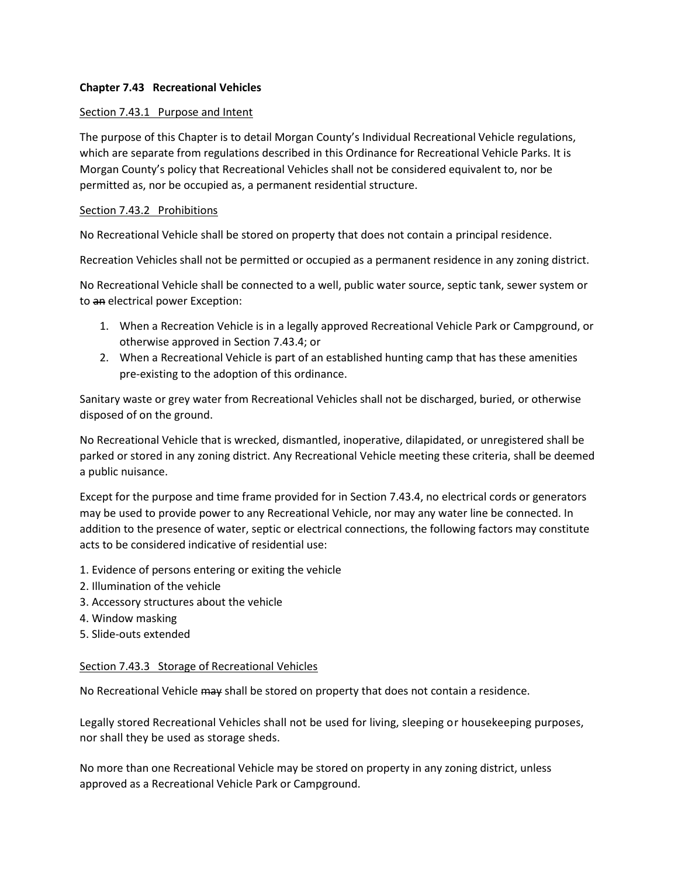#### **Chapter 7.43 Recreational Vehicles**

#### Section 7.43.1 Purpose and Intent

The purpose of this Chapter is to detail Morgan County's Individual Recreational Vehicle regulations, which are separate from regulations described in this Ordinance for Recreational Vehicle Parks. It is Morgan County's policy that Recreational Vehicles shall not be considered equivalent to, nor be permitted as, nor be occupied as, a permanent residential structure.

#### Section 7.43.2 Prohibitions

No Recreational Vehicle shall be stored on property that does not contain a principal residence.

Recreation Vehicles shall not be permitted or occupied as a permanent residence in any zoning district.

No Recreational Vehicle shall be connected to a well, public water source, septic tank, sewer system or to an electrical power Exception:

- 1. When a Recreation Vehicle is in a legally approved Recreational Vehicle Park or Campground, or otherwise approved in Section 7.43.4; or
- 2. When a Recreational Vehicle is part of an established hunting camp that has these amenities pre-existing to the adoption of this ordinance.

Sanitary waste or grey water from Recreational Vehicles shall not be discharged, buried, or otherwise disposed of on the ground.

No Recreational Vehicle that is wrecked, dismantled, inoperative, dilapidated, or unregistered shall be parked or stored in any zoning district. Any Recreational Vehicle meeting these criteria, shall be deemed a public nuisance.

Except for the purpose and time frame provided for in Section 7.43.4, no electrical cords or generators may be used to provide power to any Recreational Vehicle, nor may any water line be connected. In addition to the presence of water, septic or electrical connections, the following factors may constitute acts to be considered indicative of residential use:

- 1. Evidence of persons entering or exiting the vehicle
- 2. Illumination of the vehicle
- 3. Accessory structures about the vehicle
- 4. Window masking
- 5. Slide-outs extended

#### Section 7.43.3 Storage of Recreational Vehicles

No Recreational Vehicle may shall be stored on property that does not contain a residence.

Legally stored Recreational Vehicles shall not be used for living, sleeping or housekeeping purposes, nor shall they be used as storage sheds.

No more than one Recreational Vehicle may be stored on property in any zoning district, unless approved as a Recreational Vehicle Park or Campground.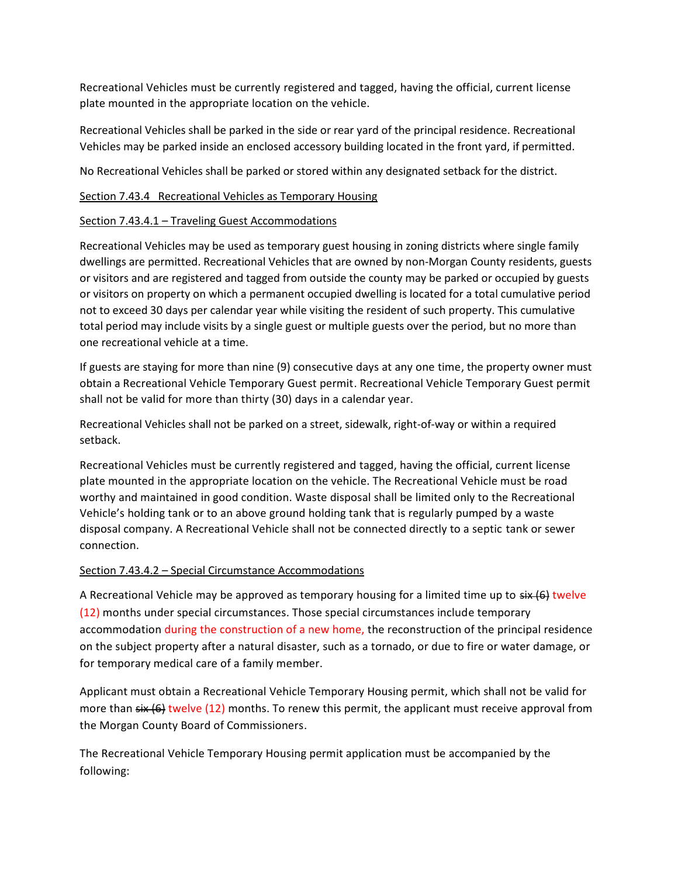Recreational Vehicles must be currently registered and tagged, having the official, current license plate mounted in the appropriate location on the vehicle.

Recreational Vehicles shall be parked in the side or rear yard of the principal residence. Recreational Vehicles may be parked inside an enclosed accessory building located in the front yard, if permitted.

No Recreational Vehicles shall be parked or stored within any designated setback for the district.

#### Section 7.43.4 Recreational Vehicles as Temporary Housing

#### Section 7.43.4.1 – Traveling Guest Accommodations

Recreational Vehicles may be used as temporary guest housing in zoning districts where single family dwellings are permitted. Recreational Vehicles that are owned by non-Morgan County residents, guests or visitors and are registered and tagged from outside the county may be parked or occupied by guests or visitors on property on which a permanent occupied dwelling is located for a total cumulative period not to exceed 30 days per calendar year while visiting the resident of such property. This cumulative total period may include visits by a single guest or multiple guests over the period, but no more than one recreational vehicle at a time.

If guests are staying for more than nine (9) consecutive days at any one time, the property owner must obtain a Recreational Vehicle Temporary Guest permit. Recreational Vehicle Temporary Guest permit shall not be valid for more than thirty (30) days in a calendar year.

Recreational Vehicles shall not be parked on a street, sidewalk, right-of-way or within a required setback.

Recreational Vehicles must be currently registered and tagged, having the official, current license plate mounted in the appropriate location on the vehicle. The Recreational Vehicle must be road worthy and maintained in good condition. Waste disposal shall be limited only to the Recreational Vehicle's holding tank or to an above ground holding tank that is regularly pumped by a waste disposal company. A Recreational Vehicle shall not be connected directly to a septic tank or sewer connection.

## Section 7.43.4.2 – Special Circumstance Accommodations

A Recreational Vehicle may be approved as temporary housing for a limited time up to  $\frac{1}{2}$  twelve (12) months under special circumstances. Those special circumstances include temporary accommodation during the construction of a new home, the reconstruction of the principal residence on the subject property after a natural disaster, such as a tornado, or due to fire or water damage, or for temporary medical care of a family member.

Applicant must obtain a Recreational Vehicle Temporary Housing permit, which shall not be valid for more than  $s$ ix  $(6)$  twelve (12) months. To renew this permit, the applicant must receive approval from the Morgan County Board of Commissioners.

The Recreational Vehicle Temporary Housing permit application must be accompanied by the following: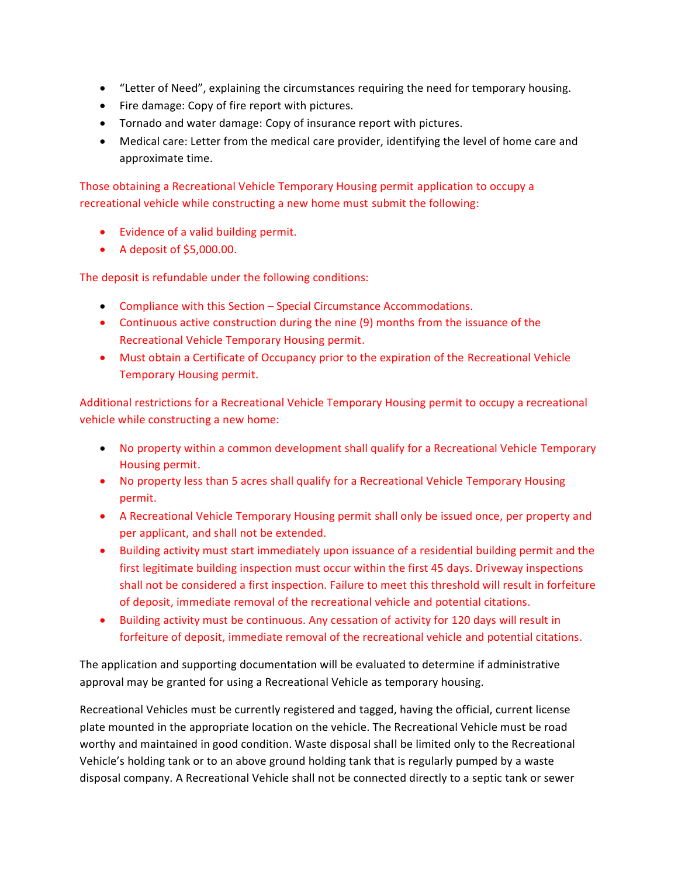- "Letter of Need", explaining the circumstances requiring the need for temporary housing.
- Fire damage: Copy of fire report with pictures.
- Tornado and water damage: Copy of insurance report with pictures.
- Medical care: Letter from the medical care provider, identifying the level of home care and approximate time.

Those obtaining a Recreational Vehicle Temporary Housing permit application to occupy a recreational vehicle while constructing a new home must submit the following:

- Evidence of a valid building permit.
- A deposit of \$5,000.00.

The deposit is refundable under the following conditions:

- Compliance with this Section Special Circumstance Accommodations.
- Continuous active construction during the nine (9) months from the issuance of the Recreational Vehicle Temporary Housing permit.
- Must obtain a Certificate of Occupancy prior to the expiration of the Recreational Vehicle Temporary Housing permit.

Additional restrictions for a Recreational Vehicle Temporary Housing permit to occupy a recreational vehicle while constructing a new home:

- No property within a common development shall qualify for a Recreational Vehicle Temporary Housing permit.
- No property less than 5 acres shall qualify for a Recreational Vehicle Temporary Housing permit.
- A Recreational Vehicle Temporary Housing permit shall only be issued once, per property and per applicant, and shall not be extended.
- Building activity must start immediately upon issuance of a residential building permit and the first legitimate building inspection must occur within the first 45 days. Driveway inspections shall not be considered a first inspection. Failure to meet this threshold will result in forfeiture of deposit, immediate removal of the recreational vehicle and potential citations.
- Building activity must be continuous. Any cessation of activity for 120 days will result in forfeiture of deposit, immediate removal of the recreational vehicle and potential citations.

The application and supporting documentation will be evaluated to determine if administrative approval may be granted for using a Recreational Vehicle as temporary housing.

Recreational Vehicles must be currently registered and tagged, having the official, current license plate mounted in the appropriate location on the vehicle. The Recreational Vehicle must be road worthy and maintained in good condition. Waste disposal shall be limited only to the Recreational Vehicle's holding tank or to an above ground holding tank that is regularly pumped by a waste disposal company. A Recreational Vehicle shall not be connected directly to a septic tank or sewer